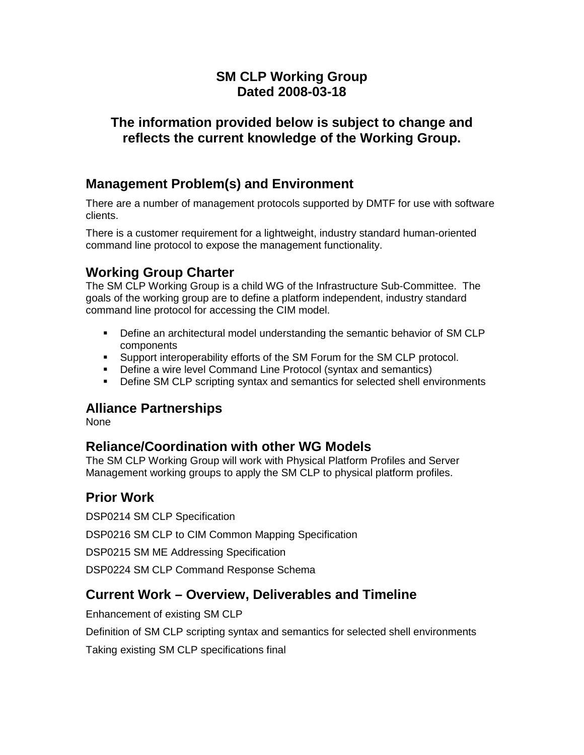# **SM CLP Working Group Dated 2008-03-18**

#### **The information provided below is subject to change and reflects the current knowledge of the Working Group.**

# **Management Problem(s) and Environment**

There are a number of management protocols supported by DMTF for use with software clients.

There is a customer requirement for a lightweight, industry standard human-oriented command line protocol to expose the management functionality.

# **Working Group Charter**

The SM CLP Working Group is a child WG of the Infrastructure Sub-Committee. The goals of the working group are to define a platform independent, industry standard command line protocol for accessing the CIM model.

- Define an architectural model understanding the semantic behavior of SM CLP components
- Support interoperability efforts of the SM Forum for the SM CLP protocol.
- **-** Define a wire level Command Line Protocol (syntax and semantics)
- Define SM CLP scripting syntax and semantics for selected shell environments

#### **Alliance Partnerships**

None

### **Reliance/Coordination with other WG Models**

The SM CLP Working Group will work with Physical Platform Profiles and Server Management working groups to apply the SM CLP to physical platform profiles.

### **Prior Work**

DSP0214 SM CLP Specification

DSP0216 SM CLP to CIM Common Mapping Specification

DSP0215 SM ME Addressing Specification

DSP0224 SM CLP Command Response Schema

### **Current Work – Overview, Deliverables and Timeline**

Enhancement of existing SM CLP

Definition of SM CLP scripting syntax and semantics for selected shell environments

Taking existing SM CLP specifications final